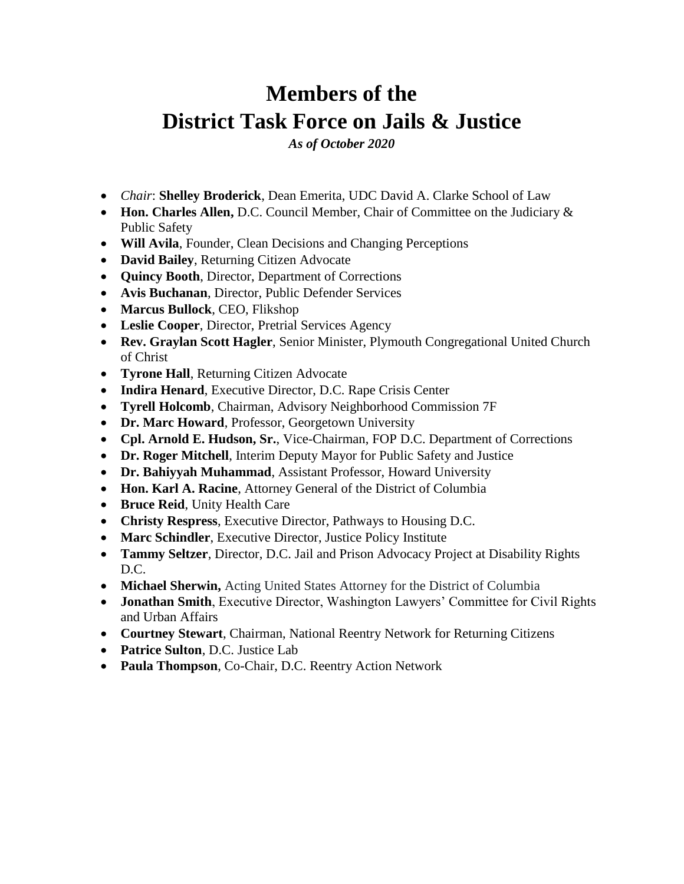# **Members of the District Task Force on Jails & Justice**

*As of October 2020*

- *Chair*: **Shelley Broderick**, Dean Emerita, UDC David A. Clarke School of Law
- **Hon. Charles Allen,** D.C. Council Member, Chair of Committee on the Judiciary & Public Safety
- **Will Avila**, Founder, Clean Decisions and Changing Perceptions
- **David Bailey**, Returning Citizen Advocate
- **Quincy Booth**, Director, Department of Corrections
- **Avis Buchanan**, Director, Public Defender Services
- **Marcus Bullock**, CEO, Flikshop
- **Leslie Cooper**, Director, Pretrial Services Agency
- **Rev. Graylan Scott Hagler**, Senior Minister, Plymouth Congregational United Church of Christ
- **Tyrone Hall**, Returning Citizen Advocate
- **Indira Henard**, Executive Director, D.C. Rape Crisis Center
- **Tyrell Holcomb**, Chairman, Advisory Neighborhood Commission 7F
- **Dr. Marc Howard**, Professor, Georgetown University
- **Cpl. Arnold E. Hudson, Sr.**, Vice-Chairman, FOP D.C. Department of Corrections
- **Dr. Roger Mitchell**, Interim Deputy Mayor for Public Safety and Justice
- **Dr. Bahiyyah Muhammad**, Assistant Professor, Howard University
- **Hon. Karl A. Racine**, Attorney General of the District of Columbia
- **Bruce Reid**, Unity Health Care
- **Christy Respress**, Executive Director, Pathways to Housing D.C.
- **Marc Schindler**, Executive Director, Justice Policy Institute
- **Tammy Seltzer**, Director, D.C. Jail and Prison Advocacy Project at Disability Rights D.C.
- **Michael Sherwin,** Acting United States Attorney for the District of Columbia
- **Jonathan Smith**, Executive Director, Washington Lawyers' Committee for Civil Rights and Urban Affairs
- **Courtney Stewart**, Chairman, National Reentry Network for Returning Citizens
- **Patrice Sulton**, D.C. Justice Lab
- **Paula Thompson**, Co-Chair, D.C. Reentry Action Network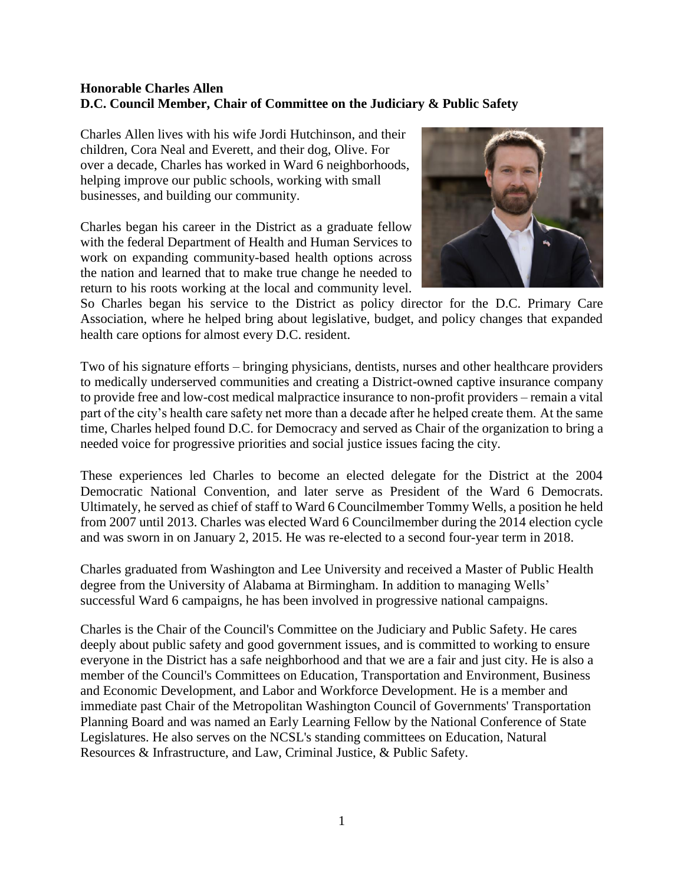#### **Honorable Charles Allen D.C. Council Member, Chair of Committee on the Judiciary & Public Safety**

Charles Allen lives with his wife Jordi Hutchinson, and their children, Cora Neal and Everett, and their dog, Olive. For over a decade, Charles has worked in Ward 6 neighborhoods, helping improve our public schools, working with small businesses, and building our community.

Charles began his career in the District as a graduate fellow with the federal Department of Health and Human Services to work on expanding community-based health options across the nation and learned that to make true change he needed to return to his roots working at the local and community level.



So Charles began his service to the District as policy director for the D.C. Primary Care Association, where he helped bring about legislative, budget, and policy changes that expanded health care options for almost every D.C. resident.

Two of his signature efforts – bringing physicians, dentists, nurses and other healthcare providers to medically underserved communities and creating a District-owned captive insurance company to provide free and low-cost medical malpractice insurance to non-profit providers – remain a vital part of the city's health care safety net more than a decade after he helped create them. At the same time, Charles helped found D.C. for Democracy and served as Chair of the organization to bring a needed voice for progressive priorities and social justice issues facing the city.

These experiences led Charles to become an elected delegate for the District at the 2004 Democratic National Convention, and later serve as President of the Ward 6 Democrats. Ultimately, he served as chief of staff to Ward 6 Councilmember Tommy Wells, a position he held from 2007 until 2013. Charles was elected Ward 6 Councilmember during the 2014 election cycle and was sworn in on January 2, 2015. He was re-elected to a second four-year term in 2018.

Charles graduated from Washington and Lee University and received a Master of Public Health degree from the University of Alabama at Birmingham. In addition to managing Wells' successful Ward 6 campaigns, he has been involved in progressive national campaigns.

Charles is the Chair of the Council's Committee on the Judiciary and Public Safety. He cares deeply about public safety and good government issues, and is committed to working to ensure everyone in the District has a safe neighborhood and that we are a fair and just city. He is also a member of the Council's Committees on Education, Transportation and Environment, Business and Economic Development, and Labor and Workforce Development. He is a member and immediate past Chair of the Metropolitan Washington Council of Governments' Transportation Planning Board and was named an Early Learning Fellow by the National Conference of State Legislatures. He also serves on the NCSL's standing committees on Education, Natural Resources & Infrastructure, and Law, Criminal Justice, & Public Safety.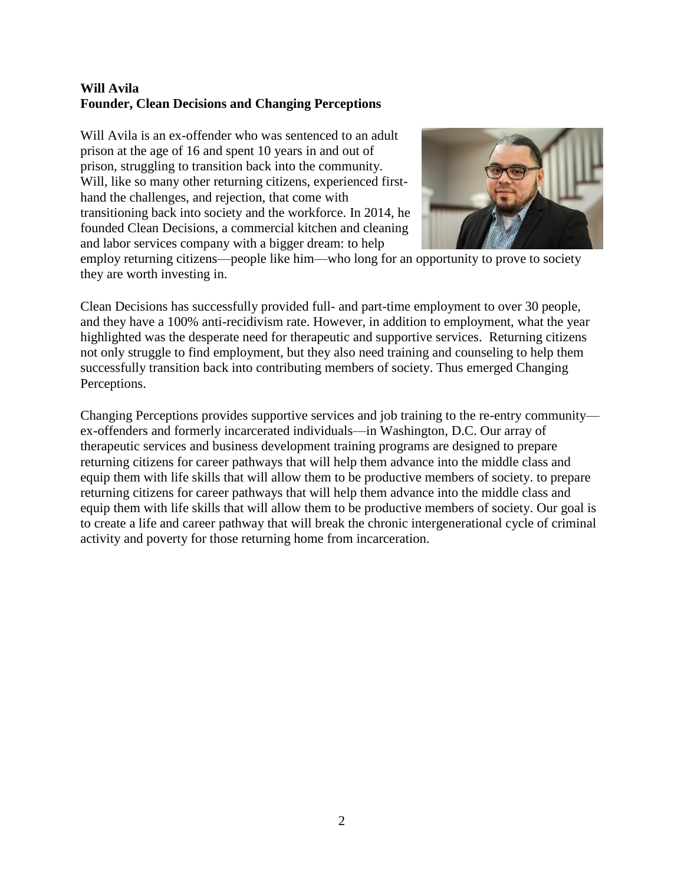#### **Will Avila Founder, Clean Decisions and Changing Perceptions**

Will Avila is an ex-offender who was sentenced to an adult prison at the age of 16 and spent 10 years in and out of prison, struggling to transition back into the community. Will, like so many other returning citizens, experienced firsthand the challenges, and rejection, that come with transitioning back into society and the workforce. In 2014, he founded Clean Decisions, a commercial kitchen and cleaning and labor services company with a bigger dream: to help



employ returning citizens—people like him—who long for an opportunity to prove to society they are worth investing in.

Clean Decisions has successfully provided full- and part-time employment to over 30 people, and they have a 100% anti-recidivism rate. However, in addition to employment, what the year highlighted was the desperate need for therapeutic and supportive services. Returning citizens not only struggle to find employment, but they also need training and counseling to help them successfully transition back into contributing members of society. Thus emerged Changing Perceptions.

Changing Perceptions provides supportive services and job training to the re-entry community ex-offenders and formerly incarcerated individuals—in Washington, D.C. Our array of therapeutic services and business development training programs are designed to prepare returning citizens for career pathways that will help them advance into the middle class and equip them with life skills that will allow them to be productive members of society. to prepare returning citizens for career pathways that will help them advance into the middle class and equip them with life skills that will allow them to be productive members of society. Our goal is to create a life and career pathway that will break the chronic intergenerational cycle of criminal activity and poverty for those returning home from incarceration.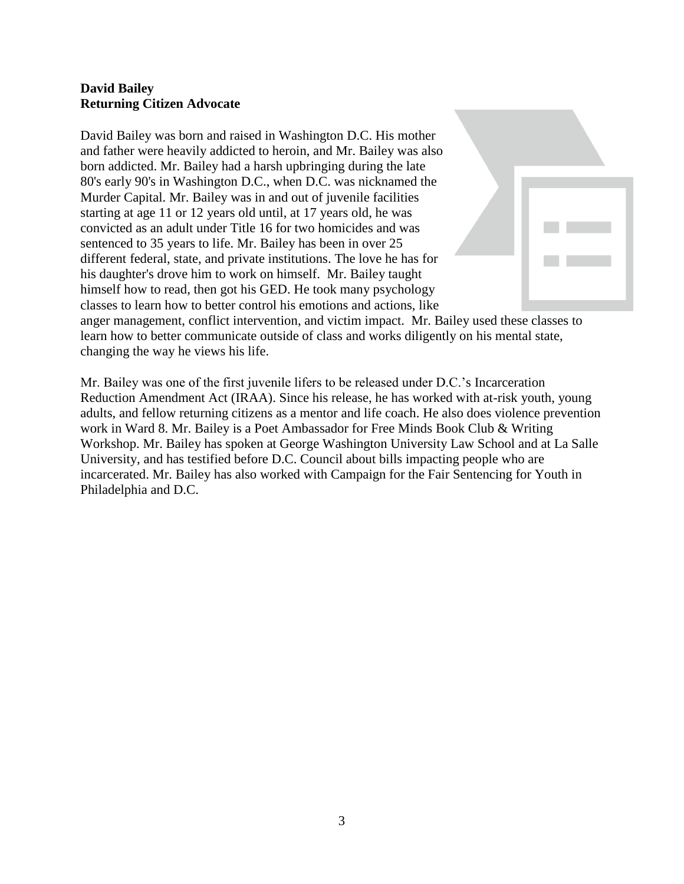## **David Bailey Returning Citizen Advocate**

David Bailey was born and raised in Washington D.C. His mother and father were heavily addicted to heroin, and Mr. Bailey was also born addicted. Mr. Bailey had a harsh upbringing during the late 80's early 90's in Washington D.C., when D.C. was nicknamed the Murder Capital. Mr. Bailey was in and out of juvenile facilities starting at age 11 or 12 years old until, at 17 years old, he was convicted as an adult under Title 16 for two homicides and was sentenced to 35 years to life. Mr. Bailey has been in over 25 different federal, state, and private institutions. The love he has for his daughter's drove him to work on himself. Mr. Bailey taught himself how to read, then got his GED. He took many psychology classes to learn how to better control his emotions and actions, like anger management, conflict intervention, and victim impact. Mr. Bailey used these classes to learn how to better communicate outside of class and works diligently on his mental state, changing the way he views his life.

Mr. Bailey was one of the first juvenile lifers to be released under D.C.'s Incarceration Reduction Amendment Act (IRAA). Since his release, he has worked with at-risk youth, young adults, and fellow returning citizens as a mentor and life coach. He also does violence prevention work in Ward 8. Mr. Bailey is a Poet Ambassador for Free Minds Book Club & Writing Workshop. Mr. Bailey has spoken at George Washington University Law School and at La Salle University, and has testified before D.C. Council about bills impacting people who are incarcerated. Mr. Bailey has also worked with Campaign for the Fair Sentencing for Youth in Philadelphia and D.C.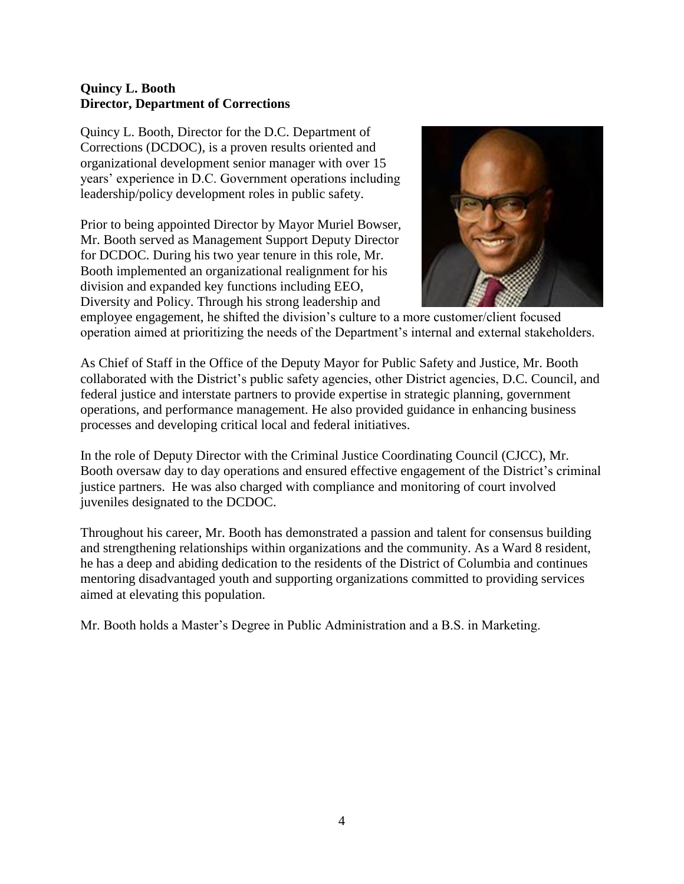### **Quincy L. Booth Director, Department of Corrections**

Quincy L. Booth, Director for the D.C. Department of Corrections (DCDOC), is a proven results oriented and organizational development senior manager with over 15 years' experience in D.C. Government operations including leadership/policy development roles in public safety.

Prior to being appointed Director by Mayor Muriel Bowser, Mr. Booth served as Management Support Deputy Director for DCDOC. During his two year tenure in this role, Mr. Booth implemented an organizational realignment for his division and expanded key functions including EEO, Diversity and Policy. Through his strong leadership and



employee engagement, he shifted the division's culture to a more customer/client focused operation aimed at prioritizing the needs of the Department's internal and external stakeholders.

As Chief of Staff in the Office of the Deputy Mayor for Public Safety and Justice, Mr. Booth collaborated with the District's public safety agencies, other District agencies, D.C. Council, and federal justice and interstate partners to provide expertise in strategic planning, government operations, and performance management. He also provided guidance in enhancing business processes and developing critical local and federal initiatives.

In the role of Deputy Director with the Criminal Justice Coordinating Council (CJCC), Mr. Booth oversaw day to day operations and ensured effective engagement of the District's criminal justice partners. He was also charged with compliance and monitoring of court involved juveniles designated to the DCDOC.

Throughout his career, Mr. Booth has demonstrated a passion and talent for consensus building and strengthening relationships within organizations and the community. As a Ward 8 resident, he has a deep and abiding dedication to the residents of the District of Columbia and continues mentoring disadvantaged youth and supporting organizations committed to providing services aimed at elevating this population.

Mr. Booth holds a Master's Degree in Public Administration and a B.S. in Marketing.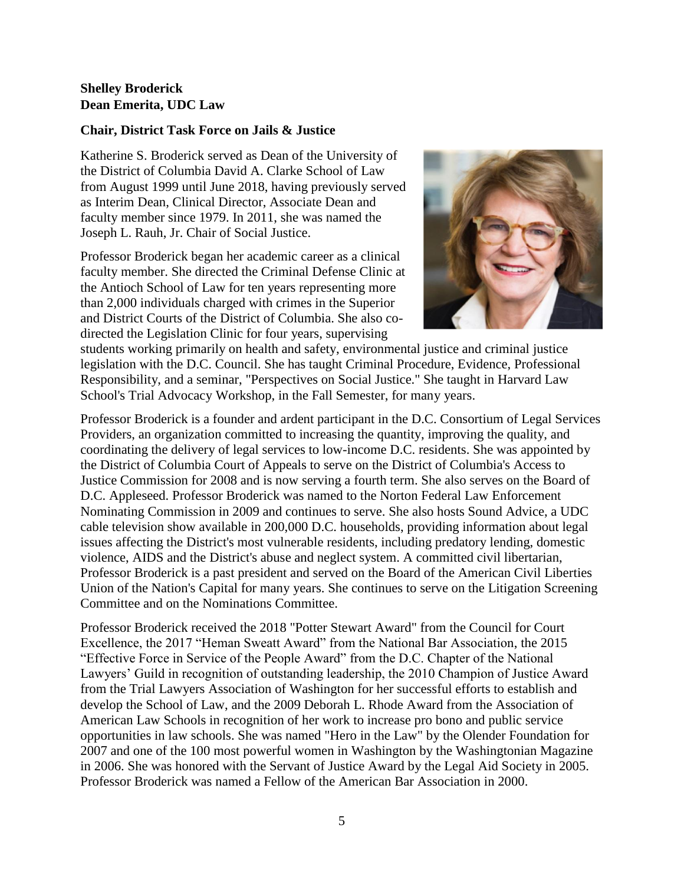## **Shelley Broderick Dean Emerita, UDC Law**

#### **Chair, District Task Force on Jails & Justice**

Katherine S. Broderick served as Dean of the University of the District of Columbia David A. Clarke School of Law from August 1999 until June 2018, having previously served as Interim Dean, Clinical Director, Associate Dean and faculty member since 1979. In 2011, she was named the Joseph L. Rauh, Jr. Chair of Social Justice.

Professor Broderick began her academic career as a clinical faculty member. She directed the Criminal Defense Clinic at the Antioch School of Law for ten years representing more than 2,000 individuals charged with crimes in the Superior and District Courts of the District of Columbia. She also codirected the Legislation Clinic for four years, supervising



students working primarily on health and safety, environmental justice and criminal justice legislation with the D.C. Council. She has taught Criminal Procedure, Evidence, Professional Responsibility, and a seminar, "Perspectives on Social Justice." She taught in Harvard Law School's Trial Advocacy Workshop, in the Fall Semester, for many years.

Professor Broderick is a founder and ardent participant in the D.C. Consortium of Legal Services Providers, an organization committed to increasing the quantity, improving the quality, and coordinating the delivery of legal services to low-income D.C. residents. She was appointed by the District of Columbia Court of Appeals to serve on the District of Columbia's Access to Justice Commission for 2008 and is now serving a fourth term. She also serves on the Board of D.C. Appleseed. Professor Broderick was named to the Norton Federal Law Enforcement Nominating Commission in 2009 and continues to serve. She also hosts Sound Advice, a UDC cable television show available in 200,000 D.C. households, providing information about legal issues affecting the District's most vulnerable residents, including predatory lending, domestic violence, AIDS and the District's abuse and neglect system. A committed civil libertarian, Professor Broderick is a past president and served on the Board of the American Civil Liberties Union of the Nation's Capital for many years. She continues to serve on the Litigation Screening Committee and on the Nominations Committee.

Professor Broderick received the 2018 "Potter Stewart Award" from the Council for Court Excellence, the 2017 "Heman Sweatt Award" from the National Bar Association, the 2015 "Effective Force in Service of the People Award" from the D.C. Chapter of the National Lawyers' Guild in recognition of outstanding leadership, the 2010 Champion of Justice Award from the Trial Lawyers Association of Washington for her successful efforts to establish and develop the School of Law, and the 2009 Deborah L. Rhode Award from the Association of American Law Schools in recognition of her work to increase pro bono and public service opportunities in law schools. She was named "Hero in the Law" by the Olender Foundation for 2007 and one of the 100 most powerful women in Washington by the Washingtonian Magazine in 2006. She was honored with the Servant of Justice Award by the Legal Aid Society in 2005. Professor Broderick was named a Fellow of the American Bar Association in 2000.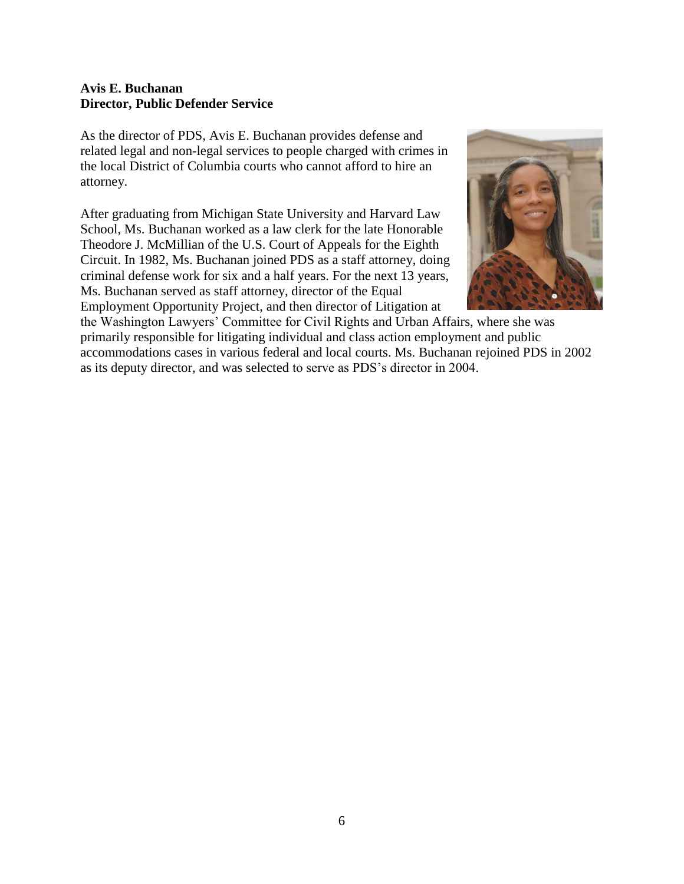#### **Avis E. Buchanan Director, Public Defender Service**

As the director of PDS, Avis E. Buchanan provides defense and related legal and non-legal services to people charged with crimes in the local District of Columbia courts who cannot afford to hire an attorney.

After graduating from Michigan State University and Harvard Law School, Ms. Buchanan worked as a law clerk for the late Honorable Theodore J. McMillian of the U.S. Court of Appeals for the Eighth Circuit. In 1982, Ms. Buchanan joined PDS as a staff attorney, doing criminal defense work for six and a half years. For the next 13 years, Ms. Buchanan served as staff attorney, director of the Equal Employment Opportunity Project, and then director of Litigation at



the Washington Lawyers' Committee for Civil Rights and Urban Affairs, where she was primarily responsible for litigating individual and class action employment and public accommodations cases in various federal and local courts. Ms. Buchanan rejoined PDS in 2002 as its deputy director, and was selected to serve as PDS's director in 2004.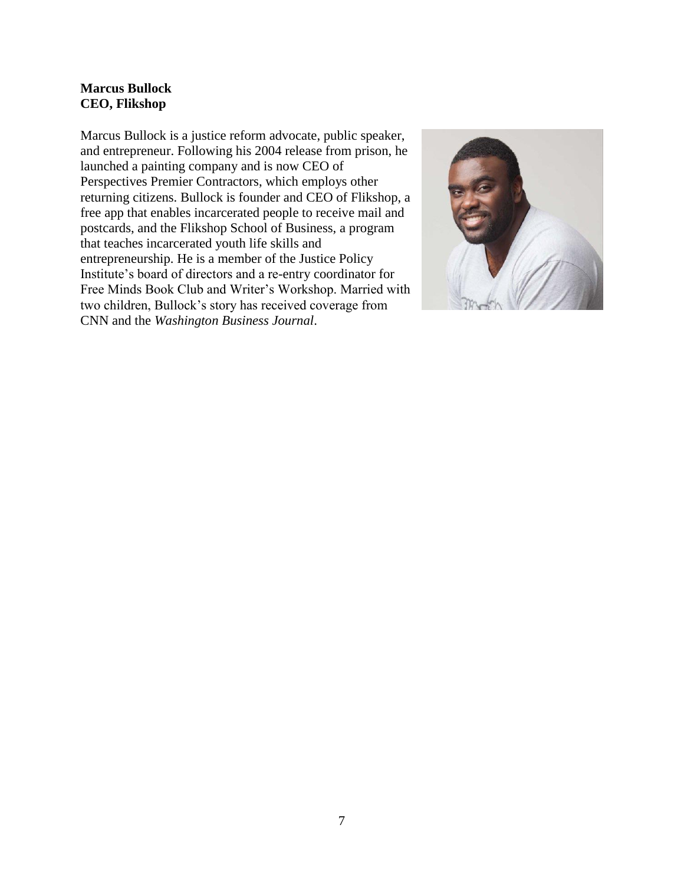## **Marcus Bullock CEO, Flikshop**

Marcus Bullock is a justice reform advocate, public speaker, and entrepreneur. Following his 2004 release from prison, he launched a painting company and is now CEO of Perspectives Premier Contractors, which employs other returning citizens. Bullock is founder and CEO of Flikshop, a free app that enables incarcerated people to receive mail and postcards, and the Flikshop School of Business, a program that teaches incarcerated youth life skills and entrepreneurship. He is a member of the Justice Policy Institute's board of directors and a re-entry coordinator for Free Minds Book Club and Writer's Workshop. Married with two children, Bullock's story has received coverage from CNN and the *Washington Business Journal*.

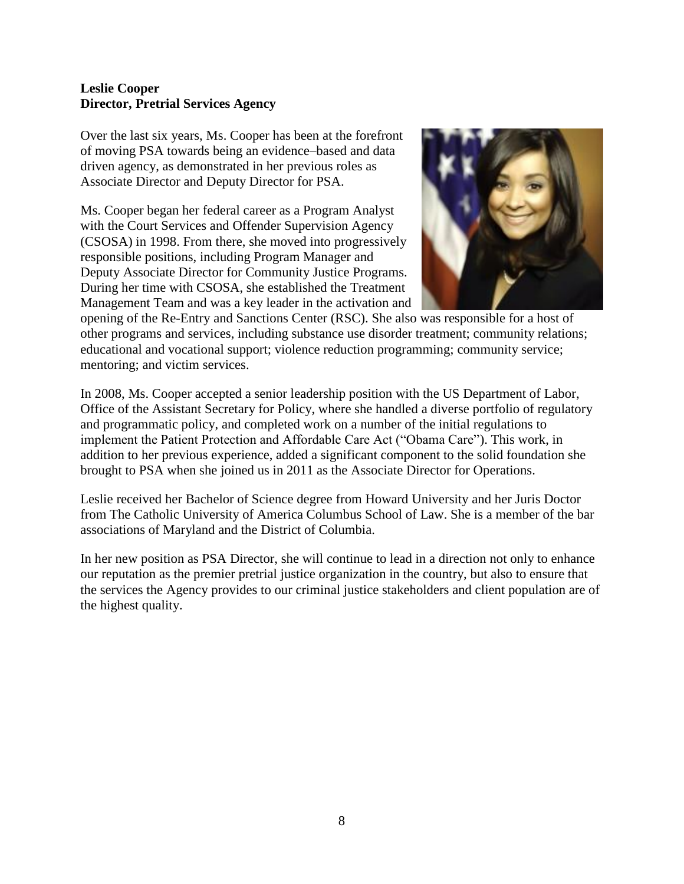## **Leslie Cooper Director, Pretrial Services Agency**

Over the last six years, Ms. Cooper has been at the forefront of moving PSA towards being an evidence–based and data driven agency, as demonstrated in her previous roles as Associate Director and Deputy Director for PSA.

Ms. Cooper began her federal career as a Program Analyst with the Court Services and Offender Supervision Agency (CSOSA) in 1998. From there, she moved into progressively responsible positions, including Program Manager and Deputy Associate Director for Community Justice Programs. During her time with CSOSA, she established the Treatment Management Team and was a key leader in the activation and



opening of the Re-Entry and Sanctions Center (RSC). She also was responsible for a host of other programs and services, including substance use disorder treatment; community relations; educational and vocational support; violence reduction programming; community service; mentoring; and victim services.

In 2008, Ms. Cooper accepted a senior leadership position with the US Department of Labor, Office of the Assistant Secretary for Policy, where she handled a diverse portfolio of regulatory and programmatic policy, and completed work on a number of the initial regulations to implement the Patient Protection and Affordable Care Act ("Obama Care"). This work, in addition to her previous experience, added a significant component to the solid foundation she brought to PSA when she joined us in 2011 as the Associate Director for Operations.

Leslie received her Bachelor of Science degree from Howard University and her Juris Doctor from The Catholic University of America Columbus School of Law. She is a member of the bar associations of Maryland and the District of Columbia.

In her new position as PSA Director, she will continue to lead in a direction not only to enhance our reputation as the premier pretrial justice organization in the country, but also to ensure that the services the Agency provides to our criminal justice stakeholders and client population are of the highest quality.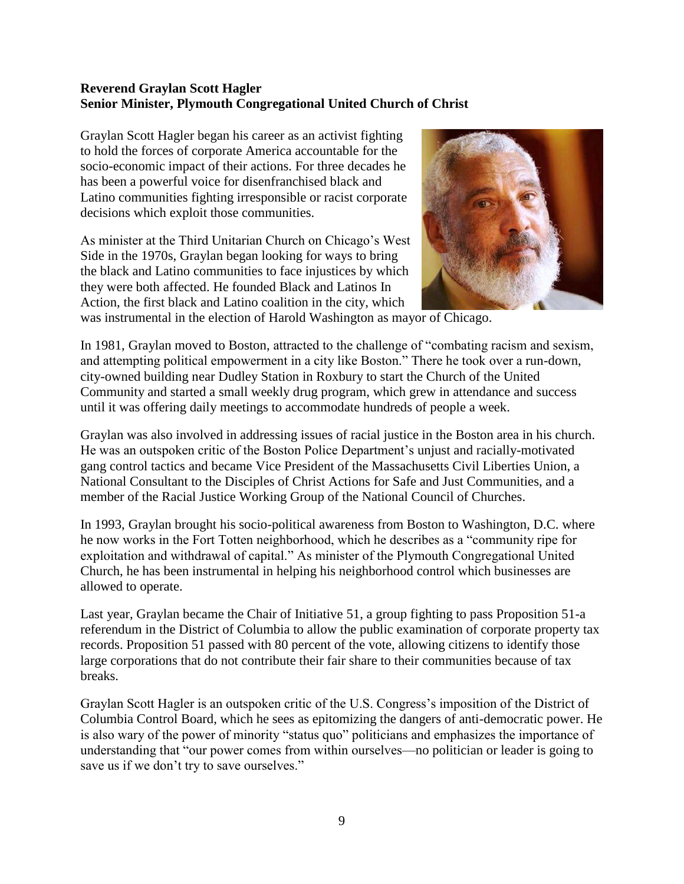## **Reverend Graylan Scott Hagler Senior Minister, Plymouth Congregational United Church of Christ**

Graylan Scott Hagler began his career as an activist fighting to hold the forces of corporate America accountable for the socio-economic impact of their actions. For three decades he has been a powerful voice for disenfranchised black and Latino communities fighting irresponsible or racist corporate decisions which exploit those communities.

As minister at the Third Unitarian Church on Chicago's West Side in the 1970s, Graylan began looking for ways to bring the black and Latino communities to face injustices by which they were both affected. He founded Black and Latinos In Action, the first black and Latino coalition in the city, which



was instrumental in the election of Harold Washington as mayor of Chicago.

In 1981, Graylan moved to Boston, attracted to the challenge of "combating racism and sexism, and attempting political empowerment in a city like Boston." There he took over a run-down, city-owned building near Dudley Station in Roxbury to start the Church of the United Community and started a small weekly drug program, which grew in attendance and success until it was offering daily meetings to accommodate hundreds of people a week.

Graylan was also involved in addressing issues of racial justice in the Boston area in his church. He was an outspoken critic of the Boston Police Department's unjust and racially-motivated gang control tactics and became Vice President of the Massachusetts Civil Liberties Union, a National Consultant to the Disciples of Christ Actions for Safe and Just Communities, and a member of the Racial Justice Working Group of the National Council of Churches.

In 1993, Graylan brought his socio-political awareness from Boston to Washington, D.C. where he now works in the Fort Totten neighborhood, which he describes as a "community ripe for exploitation and withdrawal of capital." As minister of the Plymouth Congregational United Church, he has been instrumental in helping his neighborhood control which businesses are allowed to operate.

Last year, Graylan became the Chair of Initiative 51, a group fighting to pass Proposition 51-a referendum in the District of Columbia to allow the public examination of corporate property tax records. Proposition 51 passed with 80 percent of the vote, allowing citizens to identify those large corporations that do not contribute their fair share to their communities because of tax breaks.

Graylan Scott Hagler is an outspoken critic of the U.S. Congress's imposition of the District of Columbia Control Board, which he sees as epitomizing the dangers of anti-democratic power. He is also wary of the power of minority "status quo" politicians and emphasizes the importance of understanding that "our power comes from within ourselves—no politician or leader is going to save us if we don't try to save ourselves."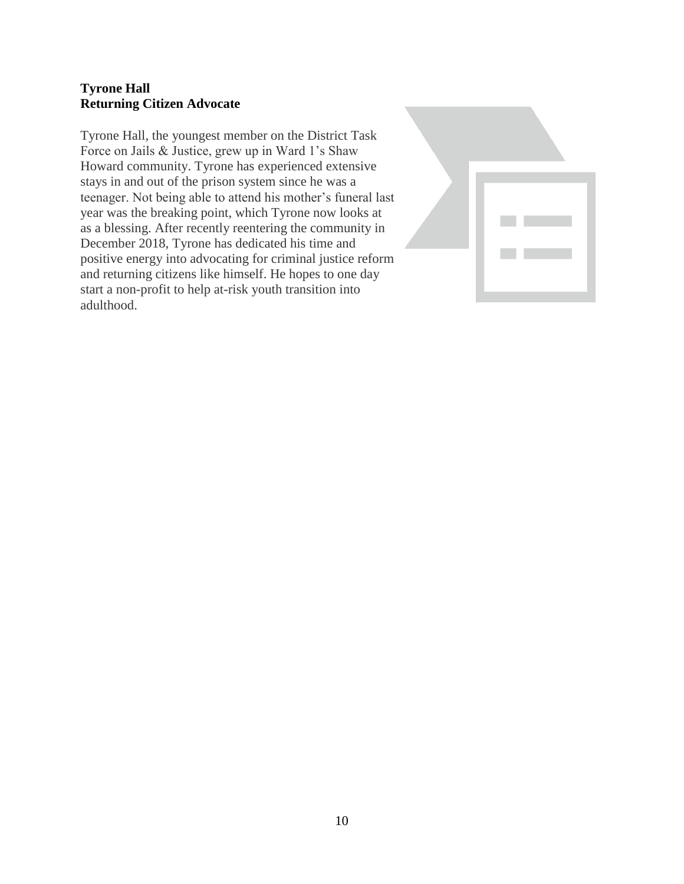## **Tyrone Hall Returning Citizen Advocate**

Tyrone Hall, the youngest member on the District Task Force on Jails & Justice, grew up in Ward 1's Shaw Howard community. Tyrone has experienced extensive stays in and out of the prison system since he was a teenager. Not being able to attend his mother's funeral last year was the breaking point, which Tyrone now looks at as a blessing. After recently reentering the community in December 2018, Tyrone has dedicated his time and positive energy into advocating for criminal justice reform and returning citizens like himself. He hopes to one day start a non-profit to help at-risk youth transition into adulthood.

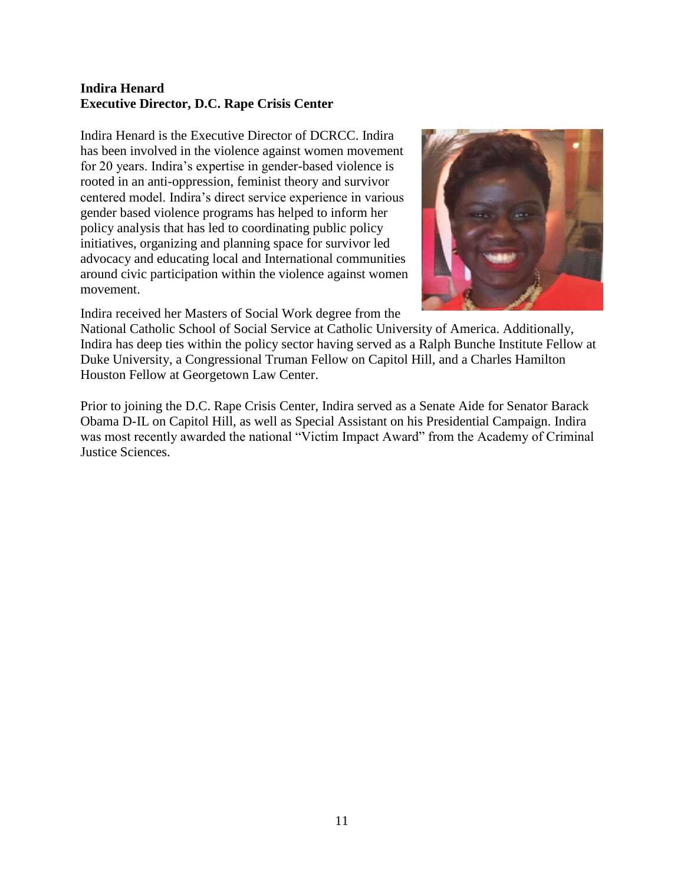## **Indira Henard Executive Director, D.C. Rape Crisis Center**

Indira Henard is the Executive Director of DCRCC. Indira has been involved in the violence against women movement for 20 years. Indira's expertise in gender-based violence is rooted in an anti-oppression, feminist theory and survivor centered model. Indira's direct service experience in various gender based violence programs has helped to inform her policy analysis that has led to coordinating public policy initiatives, organizing and planning space for survivor led advocacy and educating local and International communities around civic participation within the violence against women movement.



Indira received her Masters of Social Work degree from the

National Catholic School of Social Service at Catholic University of America. Additionally, Indira has deep ties within the policy sector having served as a Ralph Bunche Institute Fellow at Duke University, a Congressional Truman Fellow on Capitol Hill, and a Charles Hamilton Houston Fellow at Georgetown Law Center.

Prior to joining the D.C. Rape Crisis Center, Indira served as a Senate Aide for Senator Barack Obama D-IL on Capitol Hill, as well as Special Assistant on his Presidential Campaign. Indira was most recently awarded the national "Victim Impact Award" from the Academy of Criminal Justice Sciences.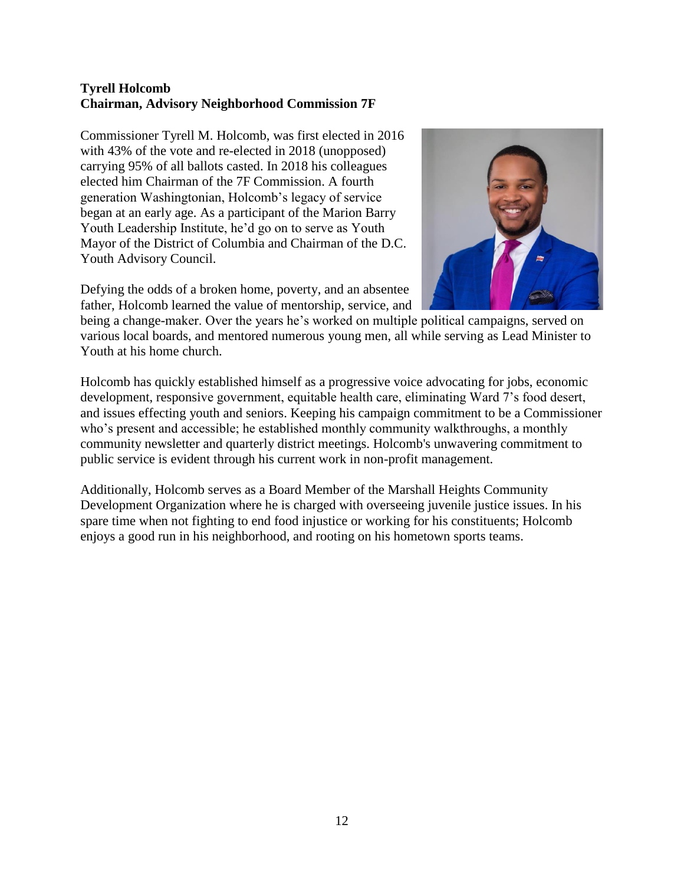## **Tyrell Holcomb Chairman, Advisory Neighborhood Commission 7F**

Commissioner Tyrell M. Holcomb, was first elected in 2016 with 43% of the vote and re-elected in 2018 (unopposed) carrying 95% of all ballots casted. In 2018 his colleagues elected him Chairman of the 7F Commission. A fourth generation Washingtonian, Holcomb's legacy of service began at an early age. As a participant of the Marion Barry Youth Leadership Institute, he'd go on to serve as Youth Mayor of the District of Columbia and Chairman of the D.C. Youth Advisory Council.

Defying the odds of a broken home, poverty, and an absentee father, Holcomb learned the value of mentorship, service, and



being a change-maker. Over the years he's worked on multiple political campaigns, served on various local boards, and mentored numerous young men, all while serving as Lead Minister to Youth at his home church.

Holcomb has quickly established himself as a progressive voice advocating for jobs, economic development, responsive government, equitable health care, eliminating Ward 7's food desert, and issues effecting youth and seniors. Keeping his campaign commitment to be a Commissioner who's present and accessible; he established monthly community walkthroughs, a monthly community newsletter and quarterly district meetings. Holcomb's unwavering commitment to public service is evident through his current work in non-profit management.

Additionally, Holcomb serves as a Board Member of the Marshall Heights Community Development Organization where he is charged with overseeing juvenile justice issues. In his spare time when not fighting to end food injustice or working for his constituents; Holcomb enjoys a good run in his neighborhood, and rooting on his hometown sports teams.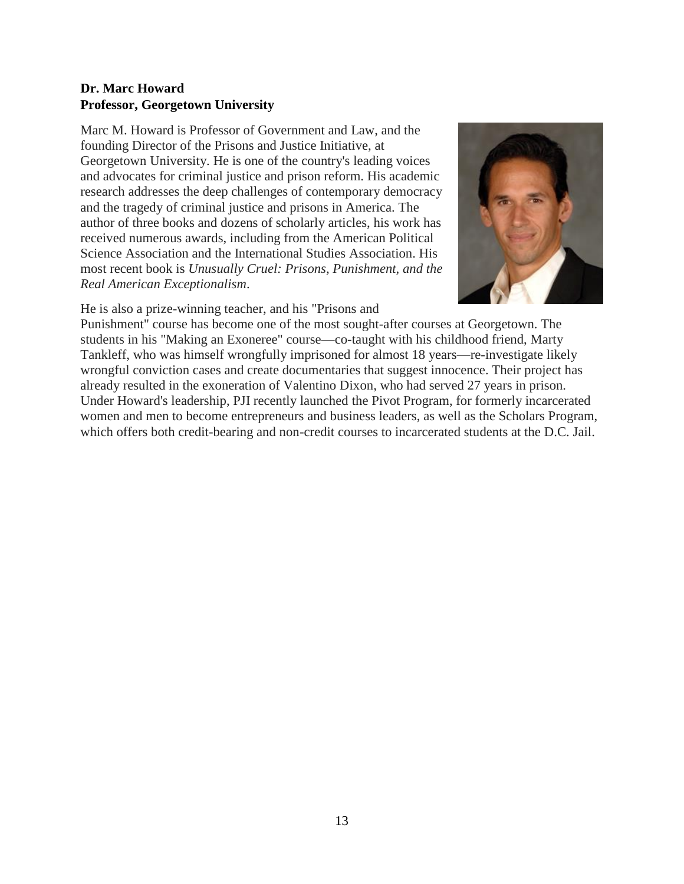## **Dr. Marc Howard Professor, Georgetown University**

Marc M. Howard is Professor of Government and Law, and the founding Director of the Prisons and Justice Initiative, at Georgetown University. He is one of the country's leading voices and advocates for criminal justice and prison reform. His academic research addresses the deep challenges of contemporary democracy and the tragedy of criminal justice and prisons in America. The author of three books and dozens of scholarly articles, his work has received numerous awards, including from the American Political Science Association and the International Studies Association. His most recent book is *Unusually Cruel: Prisons, Punishment, and the Real American Exceptionalism*.



He is also a prize-winning teacher, and his "Prisons and

Punishment" course has become one of the most sought-after courses at Georgetown. The students in his "Making an Exoneree" course—co-taught with his childhood friend, Marty Tankleff, who was himself wrongfully imprisoned for almost 18 years—re-investigate likely wrongful conviction cases and create documentaries that suggest innocence. Their project has already resulted in the exoneration of Valentino Dixon, who had served 27 years in prison. Under Howard's leadership, PJI recently launched the Pivot Program, for formerly incarcerated women and men to become entrepreneurs and business leaders, as well as the Scholars Program, which offers both credit-bearing and non-credit courses to incarcerated students at the D.C. Jail.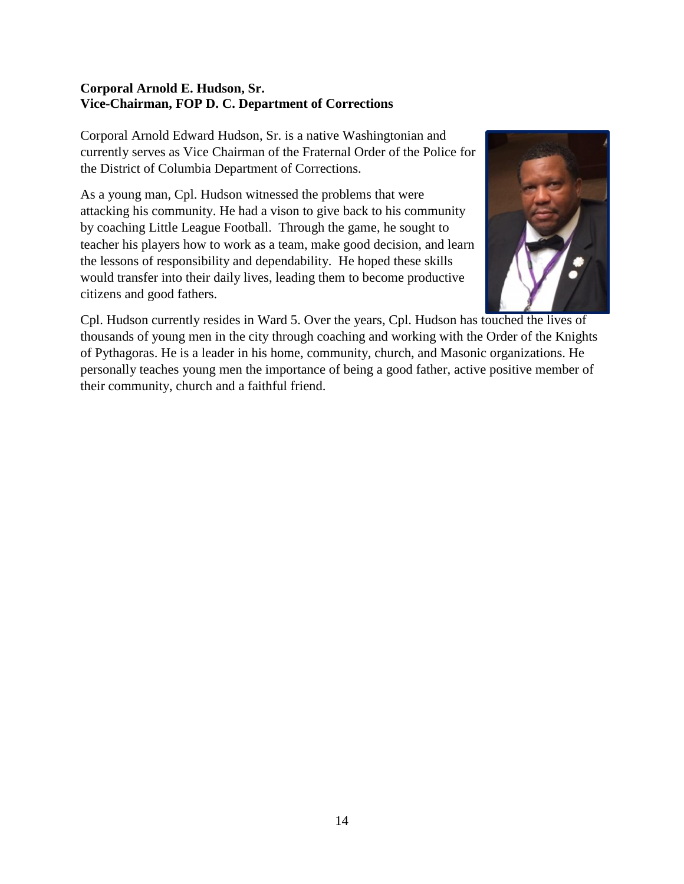## **Corporal Arnold E. Hudson, Sr. Vice-Chairman, FOP D. C. Department of Corrections**

Corporal Arnold Edward Hudson, Sr. is a native Washingtonian and currently serves as Vice Chairman of the Fraternal Order of the Police for the District of Columbia Department of Corrections.

As a young man, Cpl. Hudson witnessed the problems that were attacking his community. He had a vison to give back to his community by coaching Little League Football. Through the game, he sought to teacher his players how to work as a team, make good decision, and learn the lessons of responsibility and dependability. He hoped these skills would transfer into their daily lives, leading them to become productive citizens and good fathers.



Cpl. Hudson currently resides in Ward 5. Over the years, Cpl. Hudson has touched the lives of thousands of young men in the city through coaching and working with the Order of the Knights of Pythagoras. He is a leader in his home, community, church, and Masonic organizations. He personally teaches young men the importance of being a good father, active positive member of their community, church and a faithful friend.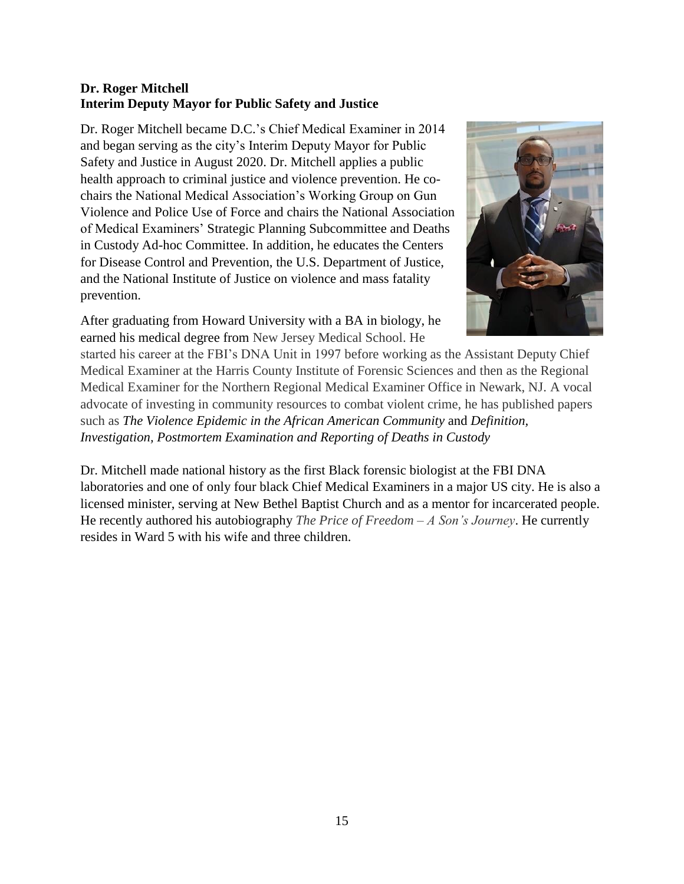## **Dr. Roger Mitchell Interim Deputy Mayor for Public Safety and Justice**

Dr. Roger Mitchell became D.C.'s Chief Medical Examiner in 2014 and began serving as the city's Interim Deputy Mayor for Public Safety and Justice in August 2020. Dr. Mitchell applies a public health approach to criminal justice and violence prevention. He cochairs the National Medical Association's Working Group on Gun Violence and Police Use of Force and chairs the National Association of Medical Examiners' Strategic Planning Subcommittee and Deaths in Custody Ad-hoc Committee. In addition, he educates the Centers for Disease Control and Prevention, the U.S. Department of Justice, and the National Institute of Justice on violence and mass fatality prevention.

After graduating from Howard University with a BA in biology, he earned his medical degree from New Jersey Medical School. He



started his career at the FBI's DNA Unit in 1997 before working as the Assistant Deputy Chief Medical Examiner at the Harris County Institute of Forensic Sciences and then as the Regional Medical Examiner for the Northern Regional Medical Examiner Office in Newark, NJ. A vocal advocate of investing in community resources to combat violent crime, he has published papers such as *The Violence Epidemic in the African American Community* and *Definition, Investigation, Postmortem Examination and Reporting of Deaths in Custody*

Dr. Mitchell made national history as the first Black forensic biologist at the FBI DNA laboratories and one of only four black Chief Medical Examiners in a major US city. He is also a licensed minister, serving at New Bethel Baptist Church and as a mentor for incarcerated people. He recently authored his autobiography *The Price of Freedom – A Son's Journey*. He currently resides in Ward 5 with his wife and three children.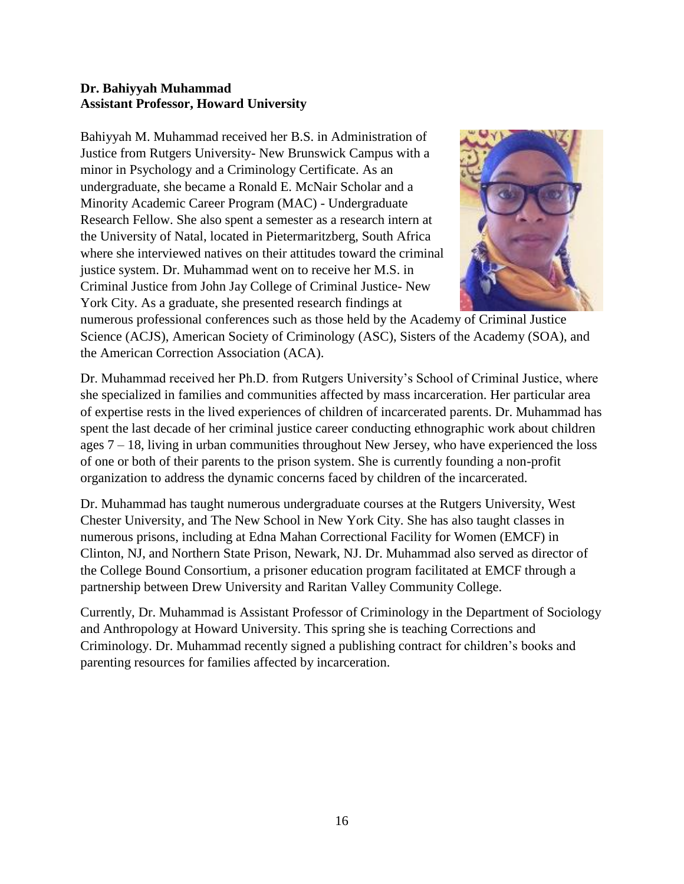## **Dr. Bahiyyah Muhammad Assistant Professor, Howard University**

Bahiyyah M. Muhammad received her B.S. in Administration of Justice from Rutgers University- New Brunswick Campus with a minor in Psychology and a Criminology Certificate. As an undergraduate, she became a Ronald E. McNair Scholar and a Minority Academic Career Program (MAC) - Undergraduate Research Fellow. She also spent a semester as a research intern at the University of Natal, located in Pietermaritzberg, South Africa where she interviewed natives on their attitudes toward the criminal justice system. Dr. Muhammad went on to receive her M.S. in Criminal Justice from John Jay College of Criminal Justice- New York City. As a graduate, she presented research findings at



numerous professional conferences such as those held by the Academy of Criminal Justice Science (ACJS), American Society of Criminology (ASC), Sisters of the Academy (SOA), and the American Correction Association (ACA).

Dr. Muhammad received her Ph.D. from Rutgers University's School of Criminal Justice, where she specialized in families and communities affected by mass incarceration. Her particular area of expertise rests in the lived experiences of children of incarcerated parents. Dr. Muhammad has spent the last decade of her criminal justice career conducting ethnographic work about children ages  $7 - 18$ , living in urban communities throughout New Jersey, who have experienced the loss of one or both of their parents to the prison system. She is currently founding a non-profit organization to address the dynamic concerns faced by children of the incarcerated.

Dr. Muhammad has taught numerous undergraduate courses at the Rutgers University, West Chester University, and The New School in New York City. She has also taught classes in numerous prisons, including at Edna Mahan Correctional Facility for Women (EMCF) in Clinton, NJ, and Northern State Prison, Newark, NJ. Dr. Muhammad also served as director of the College Bound Consortium, a prisoner education program facilitated at EMCF through a partnership between Drew University and Raritan Valley Community College.

Currently, Dr. Muhammad is Assistant Professor of Criminology in the Department of Sociology and Anthropology at Howard University. This spring she is teaching Corrections and Criminology. Dr. Muhammad recently signed a publishing contract for children's books and parenting resources for families affected by incarceration.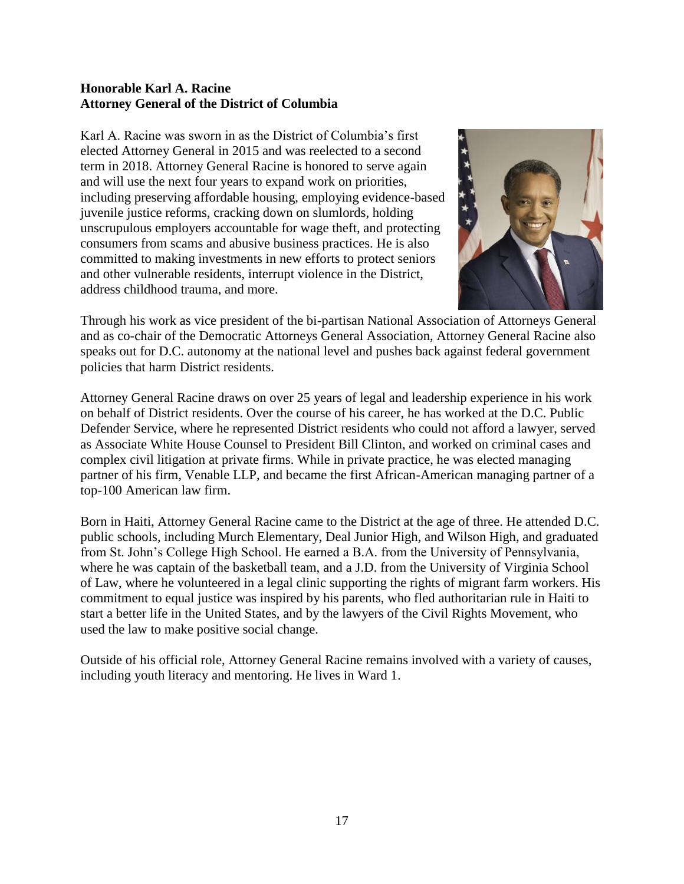#### **Honorable Karl A. Racine Attorney General of the District of Columbia**

Karl A. Racine was sworn in as the District of Columbia's first elected Attorney General in 2015 and was reelected to a second term in 2018. Attorney General Racine is honored to serve again and will use the next four years to expand work on priorities, including preserving affordable housing, employing evidence-based juvenile justice reforms, cracking down on slumlords, holding unscrupulous employers accountable for wage theft, and protecting consumers from scams and abusive business practices. He is also committed to making investments in new efforts to protect seniors and other vulnerable residents, interrupt violence in the District, address childhood trauma, and more.



Through his work as vice president of the bi-partisan National Association of Attorneys General and as co-chair of the Democratic Attorneys General Association, Attorney General Racine also speaks out for D.C. autonomy at the national level and pushes back against federal government policies that harm District residents.

Attorney General Racine draws on over 25 years of legal and leadership experience in his work on behalf of District residents. Over the course of his career, he has worked at the D.C. Public Defender Service, where he represented District residents who could not afford a lawyer, served as Associate White House Counsel to President Bill Clinton, and worked on criminal cases and complex civil litigation at private firms. While in private practice, he was elected managing partner of his firm, Venable LLP, and became the first African-American managing partner of a top-100 American law firm.

Born in Haiti, Attorney General Racine came to the District at the age of three. He attended D.C. public schools, including Murch Elementary, Deal Junior High, and Wilson High, and graduated from St. John's College High School. He earned a B.A. from the University of Pennsylvania, where he was captain of the basketball team, and a J.D. from the University of Virginia School of Law, where he volunteered in a legal clinic supporting the rights of migrant farm workers. His commitment to equal justice was inspired by his parents, who fled authoritarian rule in Haiti to start a better life in the United States, and by the lawyers of the Civil Rights Movement, who used the law to make positive social change.

Outside of his official role, Attorney General Racine remains involved with a variety of causes, including youth literacy and mentoring. He lives in Ward 1.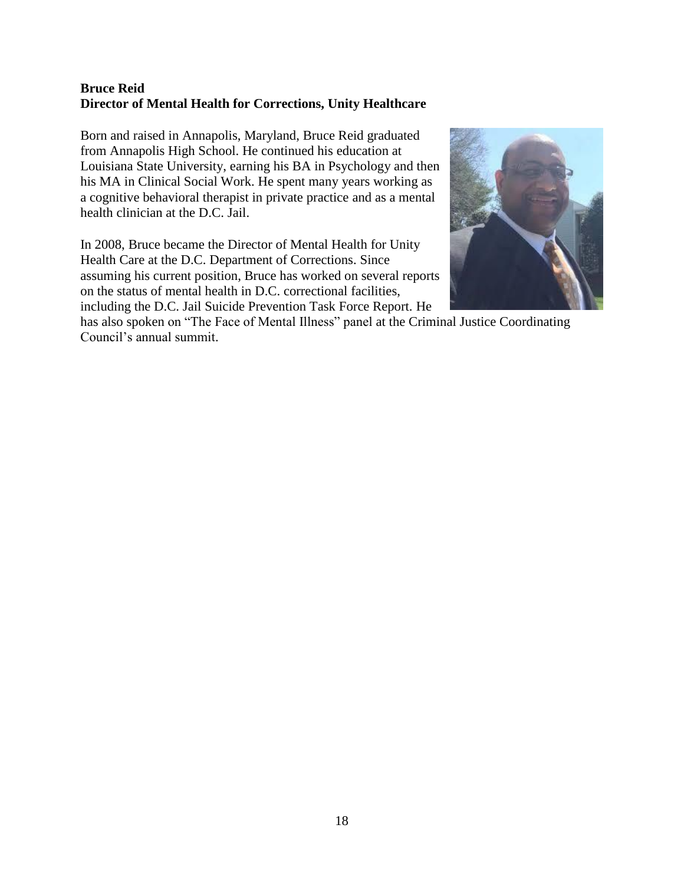## **Bruce Reid Director of Mental Health for Corrections, Unity Healthcare**

Born and raised in Annapolis, Maryland, Bruce Reid graduated from Annapolis High School. He continued his education at Louisiana State University, earning his BA in Psychology and then his MA in Clinical Social Work. He spent many years working as a cognitive behavioral therapist in private practice and as a mental health clinician at the D.C. Jail.

In 2008, Bruce became the Director of Mental Health for Unity Health Care at the D.C. Department of Corrections. Since assuming his current position, Bruce has worked on several reports on the status of mental health in D.C. correctional facilities, including the D.C. Jail Suicide Prevention Task Force Report. He



has also spoken on "The Face of Mental Illness" panel at the Criminal Justice Coordinating Council's annual summit.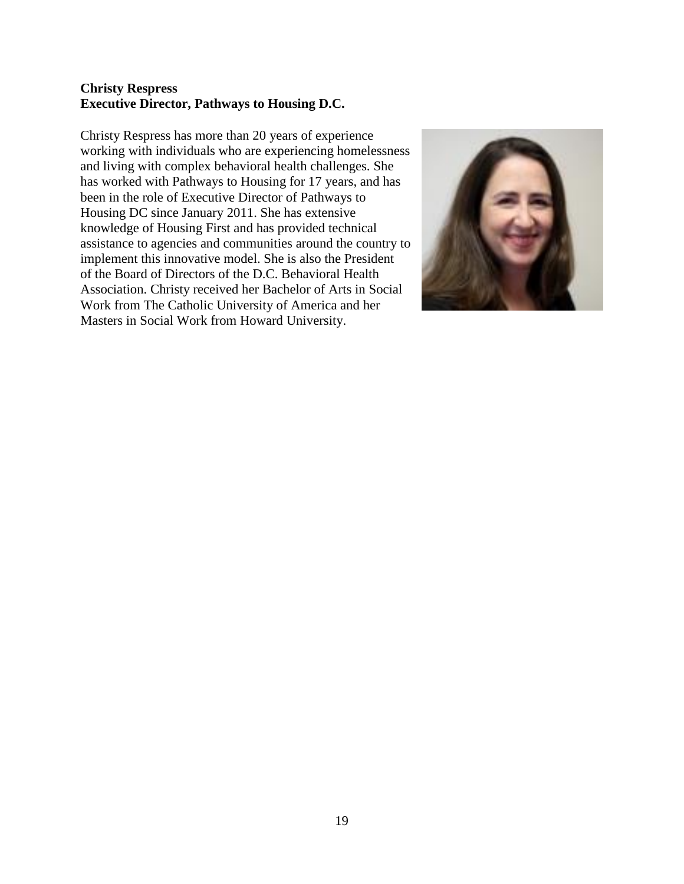#### **Christy Respress Executive Director, Pathways to Housing D.C.**

Christy Respress has more than 20 years of experience working with individuals who are experiencing homelessness and living with complex behavioral health challenges. She has worked with Pathways to Housing for 17 years, and has been in the role of Executive Director of Pathways to Housing DC since January 2011. She has extensive knowledge of Housing First and has provided technical assistance to agencies and communities around the country to implement this innovative model. She is also the President of the Board of Directors of the D.C. Behavioral Health Association. Christy received her Bachelor of Arts in Social Work from The Catholic University of America and her Masters in Social Work from Howard University.

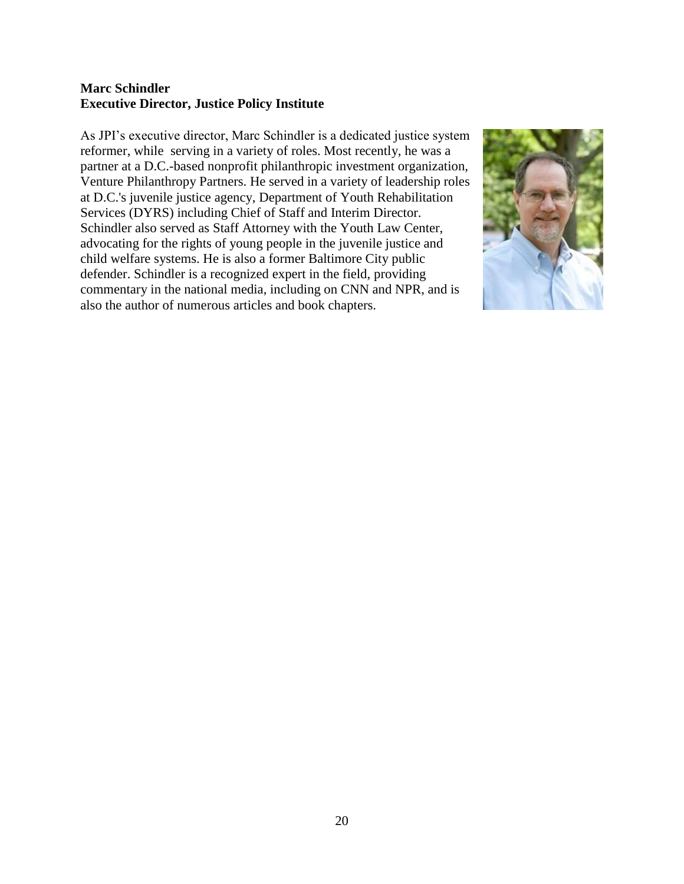#### **Marc Schindler Executive Director, Justice Policy Institute**

As JPI's executive director, Marc Schindler is a dedicated justice system reformer, while serving in a variety of roles. Most recently, he was a partner at a D.C.-based nonprofit philanthropic investment organization, Venture Philanthropy Partners. He served in a variety of leadership roles at D.C.'s juvenile justice agency, Department of Youth Rehabilitation Services (DYRS) including Chief of Staff and Interim Director. Schindler also served as Staff Attorney with the Youth Law Center, advocating for the rights of young people in the juvenile justice and child welfare systems. He is also a former Baltimore City public defender. Schindler is a recognized expert in the field, providing commentary in the national media, including on CNN and NPR, and is also the author of numerous articles and book chapters.

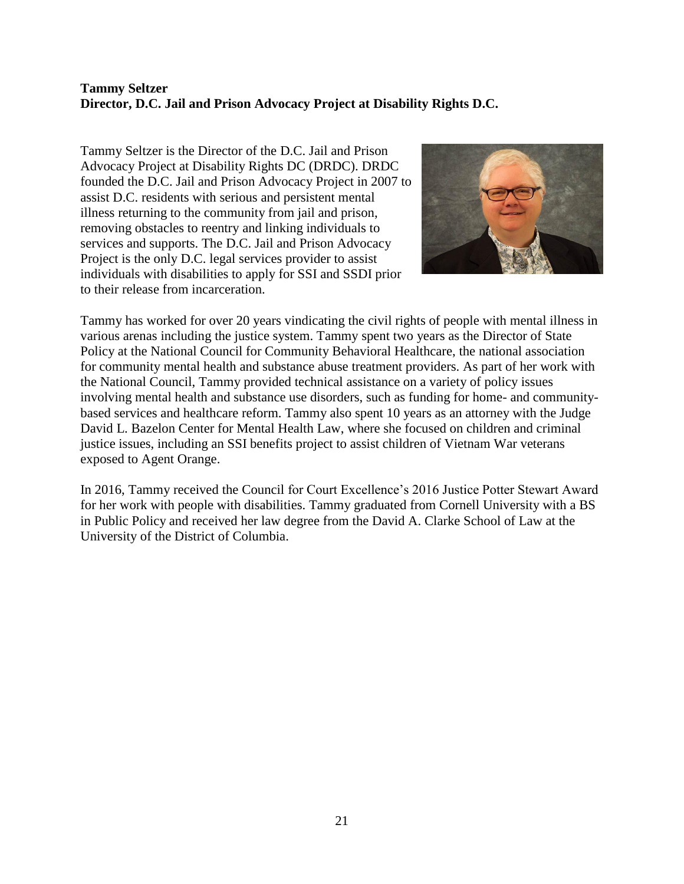## **Tammy Seltzer Director, D.C. Jail and Prison Advocacy Project at Disability Rights D.C.**

Tammy Seltzer is the Director of the D.C. Jail and Prison Advocacy Project at Disability Rights DC (DRDC). DRDC founded the D.C. Jail and Prison Advocacy Project in 2007 to assist D.C. residents with serious and persistent mental illness returning to the community from jail and prison, removing obstacles to reentry and linking individuals to services and supports. The D.C. Jail and Prison Advocacy Project is the only D.C. legal services provider to assist individuals with disabilities to apply for SSI and SSDI prior to their release from incarceration.



Tammy has worked for over 20 years vindicating the civil rights of people with mental illness in various arenas including the justice system. Tammy spent two years as the Director of State Policy at the National Council for Community Behavioral Healthcare, the national association for community mental health and substance abuse treatment providers. As part of her work with the National Council, Tammy provided technical assistance on a variety of policy issues involving mental health and substance use disorders, such as funding for home- and communitybased services and healthcare reform. Tammy also spent 10 years as an attorney with the Judge David L. Bazelon Center for Mental Health Law, where she focused on children and criminal justice issues, including an SSI benefits project to assist children of Vietnam War veterans exposed to Agent Orange.

In 2016, Tammy received the Council for Court Excellence's 2016 Justice Potter Stewart Award for her work with people with disabilities. Tammy graduated from Cornell University with a BS in Public Policy and received her law degree from the David A. Clarke School of Law at the University of the District of Columbia.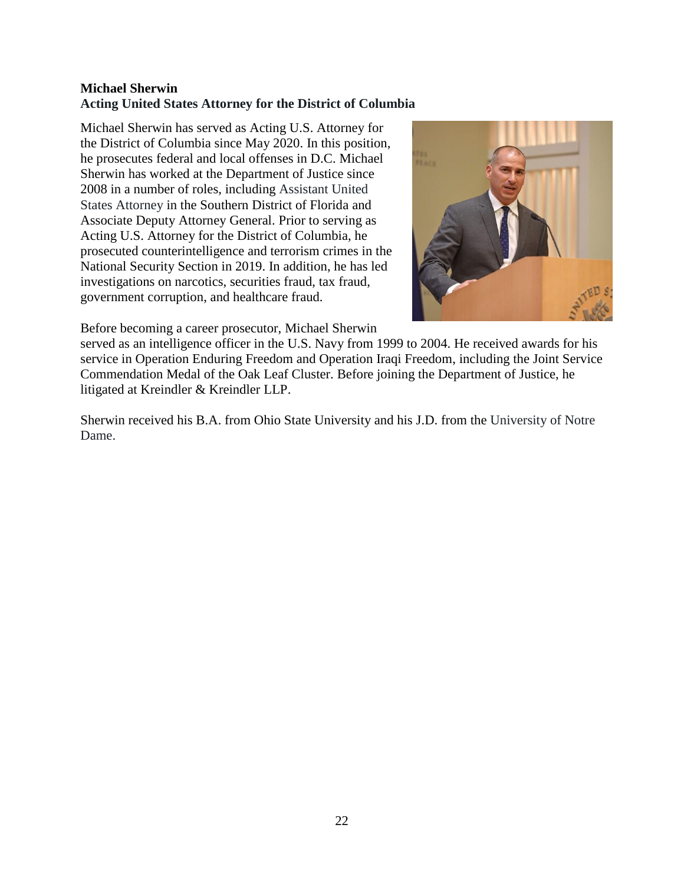## **Michael Sherwin Acting United States Attorney for the District of Columbia**

Michael Sherwin has served as Acting U.S. Attorney for the District of Columbia since May 2020. In this position, he prosecutes federal and local offenses in D.C. Michael Sherwin has worked at the Department of Justice since 2008 in a number of roles, including Assistant United States Attorney in the Southern District of Florida and Associate Deputy Attorney General. Prior to serving as Acting U.S. Attorney for the District of Columbia, he prosecuted counterintelligence and terrorism crimes in the National Security Section in 2019. In addition, he has led investigations on narcotics, securities fraud, tax fraud, government corruption, and healthcare fraud.



Before becoming a career prosecutor, Michael Sherwin

served as an intelligence officer in the U.S. Navy from 1999 to 2004. He received awards for his service in Operation Enduring Freedom and Operation Iraqi Freedom, including the Joint Service Commendation Medal of the Oak Leaf Cluster. Before joining the Department of Justice, he litigated at Kreindler & Kreindler LLP.

Sherwin received his B.A. from Ohio State University and his J.D. from the University of Notre Dame.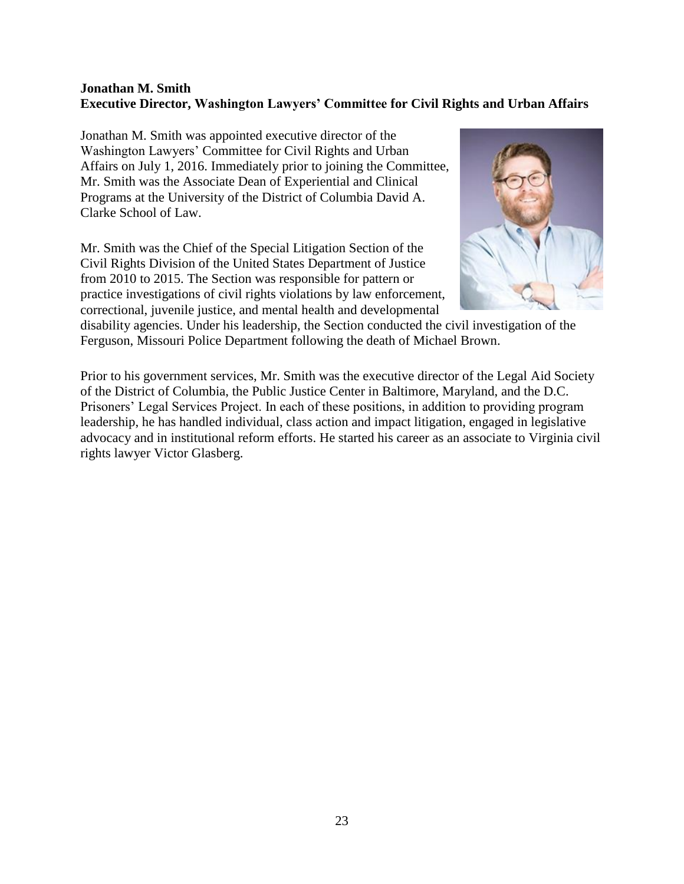#### **Jonathan M. Smith Executive Director, Washington Lawyers' Committee for Civil Rights and Urban Affairs**

Jonathan M. Smith was appointed executive director of the Washington Lawyers' Committee for Civil Rights and Urban Affairs on July 1, 2016. Immediately prior to joining the Committee, Mr. Smith was the Associate Dean of Experiential and Clinical Programs at the University of the District of Columbia David A. Clarke School of Law.

Mr. Smith was the Chief of the Special Litigation Section of the Civil Rights Division of the United States Department of Justice from 2010 to 2015. The Section was responsible for pattern or practice investigations of civil rights violations by law enforcement, correctional, juvenile justice, and mental health and developmental



disability agencies. Under his leadership, the Section conducted the civil investigation of the Ferguson, Missouri Police Department following the death of Michael Brown.

Prior to his government services, Mr. Smith was the executive director of the Legal Aid Society of the District of Columbia, the Public Justice Center in Baltimore, Maryland, and the D.C. Prisoners' Legal Services Project. In each of these positions, in addition to providing program leadership, he has handled individual, class action and impact litigation, engaged in legislative advocacy and in institutional reform efforts. He started his career as an associate to Virginia civil rights lawyer Victor Glasberg.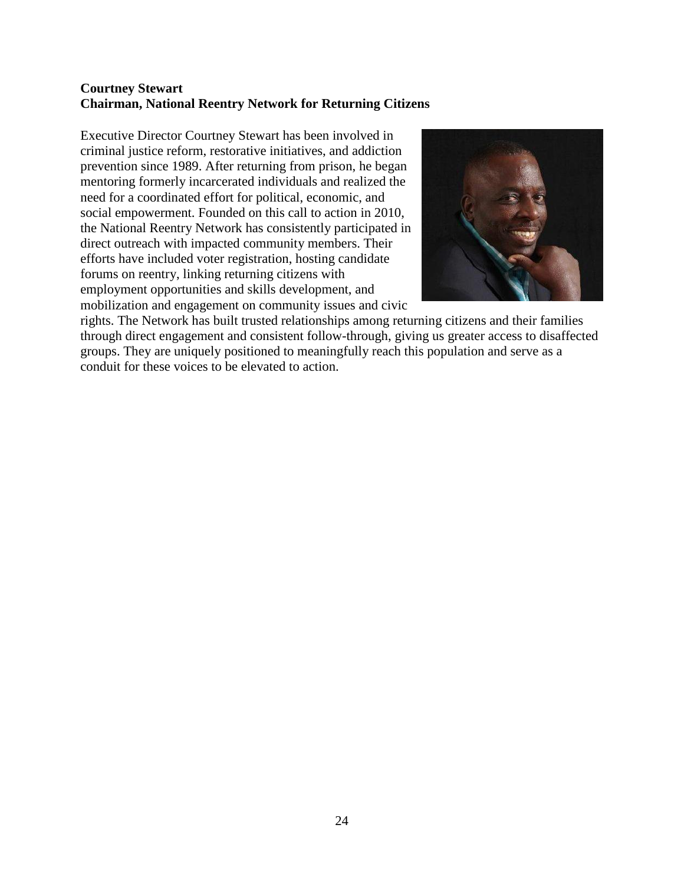#### **Courtney Stewart Chairman, National Reentry Network for Returning Citizens**

Executive Director Courtney Stewart has been involved in criminal justice reform, restorative initiatives, and addiction prevention since 1989. After returning from prison, he began mentoring formerly incarcerated individuals and realized the need for a coordinated effort for political, economic, and social empowerment. Founded on this call to action in 2010, the National Reentry Network has consistently participated in direct outreach with impacted community members. Their efforts have included voter registration, hosting candidate forums on reentry, linking returning citizens with employment opportunities and skills development, and mobilization and engagement on community issues and civic



rights. The Network has built trusted relationships among returning citizens and their families through direct engagement and consistent follow-through, giving us greater access to disaffected groups. They are uniquely positioned to meaningfully reach this population and serve as a conduit for these voices to be elevated to action.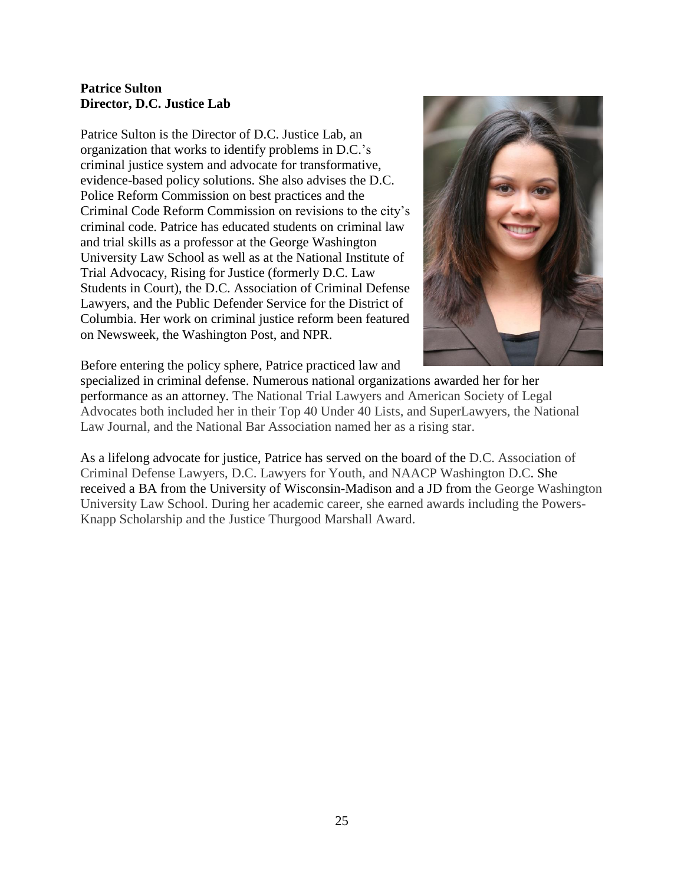#### **Patrice Sulton Director, D.C. Justice Lab**

Patrice Sulton is the Director of D.C. Justice Lab, an organization that works to identify problems in D.C.'s criminal justice system and advocate for transformative, evidence-based policy solutions. She also advises the D.C. Police Reform Commission on best practices and the Criminal Code Reform Commission on revisions to the city's criminal code. Patrice has educated students on criminal law and trial skills as a professor at the George Washington University Law School as well as at the National Institute of Trial Advocacy, Rising for Justice (formerly D.C. Law Students in Court), the D.C. Association of Criminal Defense Lawyers, and the Public Defender Service for the District of Columbia. Her work on criminal justice reform been featured on Newsweek, the Washington Post, and NPR.



Before entering the policy sphere, Patrice practiced law and

specialized in criminal defense. Numerous national organizations awarded her for her performance as an attorney. The National Trial Lawyers and American Society of Legal Advocates both included her in their Top 40 Under 40 Lists, and SuperLawyers, the National Law Journal, and the National Bar Association named her as a rising star.

As a lifelong advocate for justice, Patrice has served on the board of the D.C. Association of Criminal Defense Lawyers, D.C. Lawyers for Youth, and NAACP Washington D.C. She received a BA from the University of Wisconsin-Madison and a JD from the George Washington University Law School. During her academic career, she earned awards including the Powers-Knapp Scholarship and the Justice Thurgood Marshall Award.